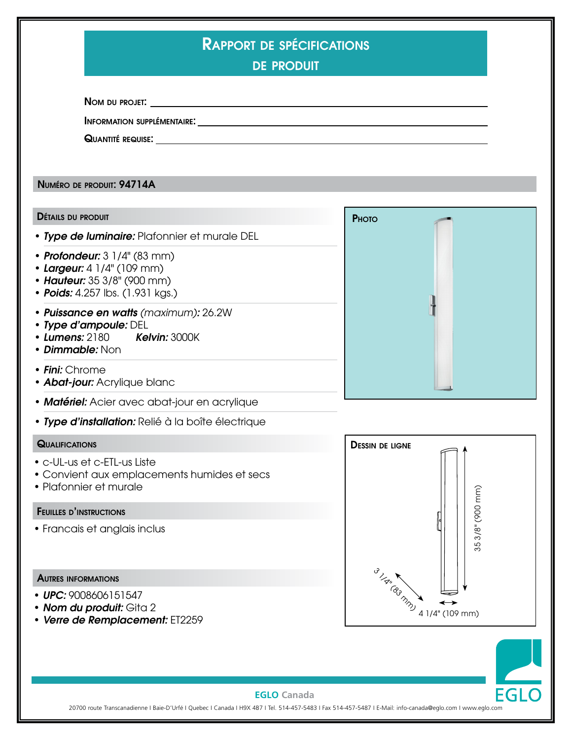|                           | <b>RAPPORT DE SPÉCIFICATIONS</b><br><b>DE PRODUIT</b>                                                          |  |
|---------------------------|----------------------------------------------------------------------------------------------------------------|--|
|                           | INFORMATION SUPPLÉMENTAIRE: University of the state of the state of the state of the state of the state of the |  |
|                           |                                                                                                                |  |
| NUMÉRO DE PRODUIT: 94714A |                                                                                                                |  |

# PHOTO Détails du produit • *Type de luminaire:* Plafonnier et murale DEL • *Profondeur:* 3 1/4" (83 mm) • *Largeur:* 4 1/4" (109 mm) • *Hauteur:* 35 3/8" (900 mm) • **Poids:** 4.257 lbs. (1.931 kgs.) • *Puissance en watts (maximum):* 26.2W • *Type d'ampoule:* DEL • *Lumens:* 2180 *Kelvin:* 3000K • *Dimmable:* Non • *Fini:* Chrome • *Abat-jour:* Acrylique blanc • *Matériel:* Acier avec abat-jour en acrylique

• *Type d'installation:* Relié à la boîte électrique

## **QUALIFICATIONS**

- c-UL-us et c-ETL-us Liste
- Convient aux emplacements humides et secs
- Plafonnier et murale

## Feuilles d'instructions

• Francais et anglais inclus

#### Autres informations

- *UPC:* 9008606151547
- *Nom du produit:* Gita 2
- *Verre de Remplacement:* ET2259





## **EGLO Canada**

20700 route Transcanadienne I Baie-D'Urfé I Quebec I Canada I H9X 4B7 I Tel. 514-457-5483 I Fax 514-457-5487 I E-Mail: info-canada@eglo.com I www.eglo.com